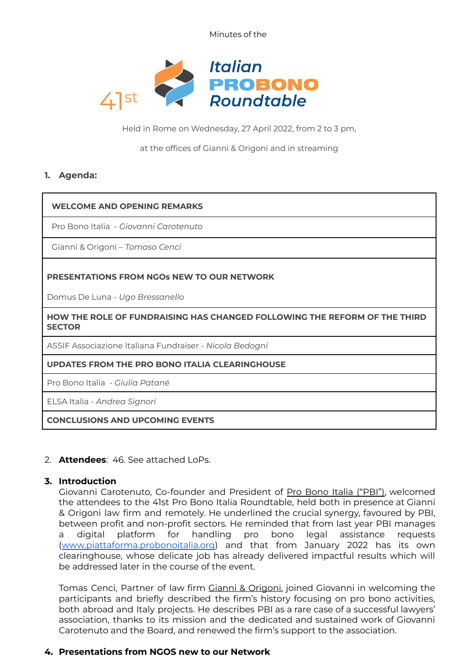Minutes of the



Held in Rome on Wednesday, 27 April 2022, from 2 to 3 pm,

at the offices of Gianni & Origoni and in streaming

## **1. Agenda:**

#### **WELCOME AND OPENING REMARKS**

Pro Bono Italia - *Giovanni Carotenuto*

Gianni & Origoni – *Tomaso Cenci*

## **PRESENTATIONS FROM NGOs NEW TO OUR NETWORK**

Domus De Luna - *Ugo Bressanello*

**HOW THE ROLE OF FUNDRAISING HAS CHANGED FOLLOWING THE REFORM OF THE THIRD SECTOR**

ASSIF Associazione Italiana Fundraiser - *Nicola Bedogni*

#### **UPDATES FROM THE PRO BONO ITALIA CLEARINGHOUSE**

Pro Bono Italia - *Giulia Patané*

ELSA Italia - *Andrea Signori*

**CONCLUSIONS AND UPCOMING EVENTS**

## 2. **Attendees**: 46. See attached LoPs.

#### **3. Introduction**

Giovanni Carotenuto, Co-founder and President of Pro Bono Italia ("PBI"), welcomed the attendees to the 41st Pro Bono Italia Roundtable, held both in presence at Gianni & Origoni law firm and remotely. He underlined the crucial synergy, favoured by PBI, between profit and non-profit sectors. He reminded that from last year PBI manages a digital platform for handling pro bono legal assistance requests ([www.piattaforma.probonoitalia.org](http://www.piattaforma.probonoitalia.org)) and that from January 2022 has its own clearinghouse, whose delicate job has already delivered impactful results which will be addressed later in the course of the event.

Tomas Cenci, Partner of law firm Gianni & Origoni, joined Giovanni in welcoming the participants and briefly described the firm's history focusing on pro bono activities, both abroad and Italy projects. He describes PBI as a rare case of a successful lawyers' association, thanks to its mission and the dedicated and sustained work of Giovanni Carotenuto and the Board, and renewed the firm's support to the association.

# **4. Presentations from NGOS new to our Network**